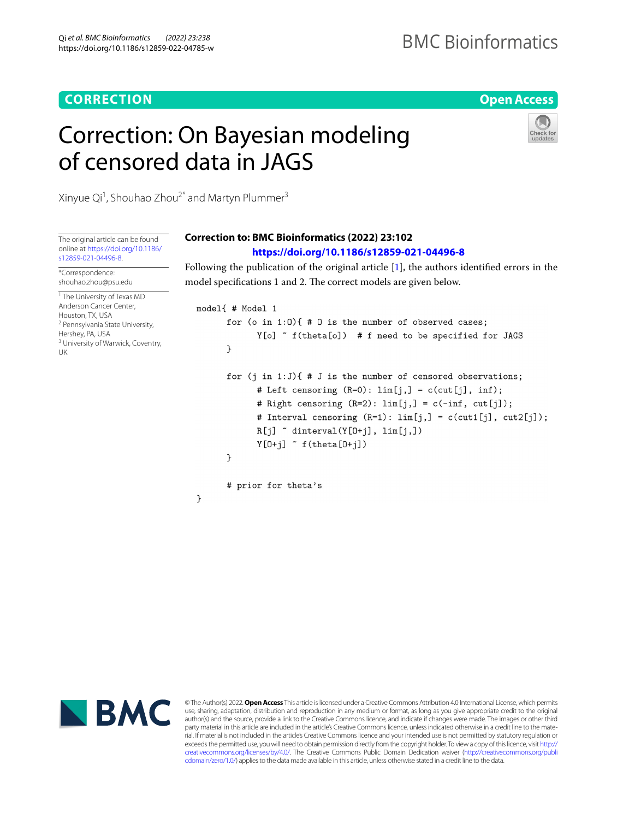## **CORRECTION**

## Qi et al. BMC Bioinformatics (2022) 23:238<br>https://doi.org/10.1186/s12859-022-04785-w BMC Bioinformatics

**Open Access**

# Correction: On Bayesian modeling of censored data in JAGS



Xinyue Qi<sup>1</sup>, Shouhao Zhou<sup>2\*</sup> and Martyn Plummer<sup>3</sup>

The original article can be found online at [https://doi.org/10.1186/](https://doi.org/10.1186/s12859-021-04496-8) [s12859-021-04496-8](https://doi.org/10.1186/s12859-021-04496-8).

\*Correspondence: shouhao.zhou@psu.edu

<sup>1</sup> The University of Texas MD Anderson Cancer Center, Houston, TX, USA <sup>2</sup> Pennsylvania State University, Hershey, PA, USA <sup>3</sup> University of Warwick, Coventry, UK

### **Correction to: BMC Bioinformatics (2022) 23:102 <https://doi.org/10.1186/s12859-021-04496-8>**

Following the publication of the original article [\[1\]](#page-1-0), the authors identifed errors in the model specifications 1 and 2. The correct models are given below.

```
model{ # Model 1
      for (o in 1:0)\{ # 0 is the number of observed cases;
             Y[0] " f(theta[o]) # f need to be specified for JAGS
      \mathcal{P}for (j \in 1:J) \{ \# J \text{ is the number of censored observations} \}# Left censoring (R=0): lim[j,] = c(cut[j], inf);
             # Right censoring (R=2): \lim[j,] = c(-\inf, cut[j]);# Interval censoring (R=1): lim[j,] = c(cut1[j], cut2[j]);R[j] \tilde{I} dinterval(Y[O+j], lim[j,])
             Y[0+j] " f(theta[0+j])
      \mathcal{F}# prior for theta's
```
 $\mathcal{F}$ 



© The Author(s) 2022. **Open Access** This article is licensed under a Creative Commons Attribution 4.0 International License, which permits use, sharing, adaptation, distribution and reproduction in any medium or format, as long as you give appropriate credit to the original author(s) and the source, provide a link to the Creative Commons licence, and indicate if changes were made. The images or other third party material in this article are included in the article's Creative Commons licence, unless indicated otherwise in a credit line to the material. If material is not included in the article's Creative Commons licence and your intended use is not permitted by statutory regulation or exceeds the permitted use, you will need to obtain permission directly from the copyright holder. To view a copy of this licence, visit [http://](http://creativecommons.org/licenses/by/4.0/) [creativecommons.org/licenses/by/4.0/.](http://creativecommons.org/licenses/by/4.0/) The Creative Commons Public Domain Dedication waiver [\(http://creativecommons.org/publi](http://creativecommons.org/publicdomain/zero/1.0/) [cdomain/zero/1.0/\)](http://creativecommons.org/publicdomain/zero/1.0/) applies to the data made available in this article, unless otherwise stated in a credit line to the data.